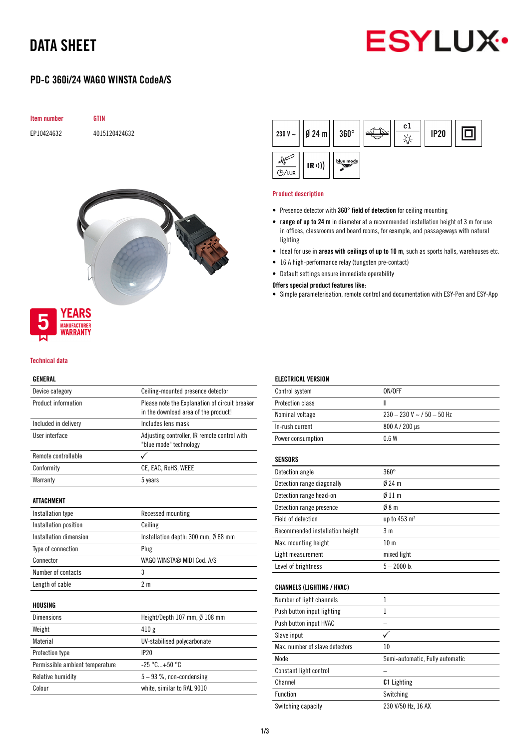# DATA SHEET



## PD-C 360i/24 WAGO WINSTA CodeA/S





## YEARS **MANUFACTURER** *NARRANTY*

### Technical data

### GENERAL

| Device category                 | Ceiling-mounted presence detector                                                      |  |  |
|---------------------------------|----------------------------------------------------------------------------------------|--|--|
| Product information             | Please note the Explanation of circuit breaker<br>in the download area of the product! |  |  |
| Included in delivery            | Includes lens mask                                                                     |  |  |
| User interface                  | Adjusting controller, IR remote control with<br>"blue mode" technology                 |  |  |
| Remote controllable             | ✓                                                                                      |  |  |
| Conformity                      | CE, EAC, RoHS, WEEE                                                                    |  |  |
| Warranty                        | 5 years                                                                                |  |  |
| <b>ATTACHMENT</b>               |                                                                                        |  |  |
| Installation type               | Recessed mounting                                                                      |  |  |
| Installation position           | Ceiling                                                                                |  |  |
| Installation dimension          | Installation depth: 300 mm, Ø 68 mm                                                    |  |  |
| Type of connection              | Plug                                                                                   |  |  |
| Connector                       | WAGO WINSTA® MIDI Cod. A/S                                                             |  |  |
| Number of contacts              | 3                                                                                      |  |  |
| Length of cable                 | 2 <sub>m</sub>                                                                         |  |  |
| HOUSING                         |                                                                                        |  |  |
| <b>Dimensions</b>               | Height/Depth 107 mm, Ø 108 mm                                                          |  |  |
| Weight                          | 410g                                                                                   |  |  |
| Material                        | UV-stabilised polycarbonate                                                            |  |  |
| Protection type                 | IP20                                                                                   |  |  |
| Permissible ambient temperature | $-25 °C+50 °C$                                                                         |  |  |
| Relative humidity               | $5 - 93$ %, non-condensing                                                             |  |  |
| Colour                          | white, similar to RAL 9010                                                             |  |  |

|              | $ 230 V -  $   Ø 24 m     360° |           | c1 | <b>IP20</b> |  |
|--------------|--------------------------------|-----------|----|-------------|--|
| <b>A/LUX</b> | (R))                           | blue mode |    |             |  |

#### Product description

- Presence detector with 360° field of detection for ceiling mounting
- range of up to 24 m in diameter at a recommended installation height of 3 m for use in offices, classrooms and board rooms, for example, and passageways with natural lighting
- Ideal for use in areas with ceilings of up to 10 m, such as sports halls, warehouses etc.
- 16 A high-performance relay (tungsten pre-contact)
- Default settings ensure immediate operability

### Offers special product features like:

• Simple parameterisation, remote control and documentation with ESY-Pen and ESY-App

| <b>ELECTRICAL VERSION</b>         |                                 |
|-----------------------------------|---------------------------------|
| Control system                    | ON/OFF                          |
| <b>Protection class</b>           | Ш                               |
| Nominal voltage                   | $230 - 230$ V ~ $/50 - 50$ Hz   |
| In-rush current                   | 800 A / 200 µs                  |
| Power consumption                 | 0.6W                            |
| SENSORS                           |                                 |
| Detection angle                   | $360^\circ$                     |
| Detection range diagonally        | $024 \text{ m}$                 |
| Detection range head-on           | $Ø$ 11 m                        |
| Detection range presence          | 08 <sub>m</sub>                 |
| Field of detection                | up to 453 m <sup>2</sup>        |
| Recommended installation height   | 3 <sub>m</sub>                  |
| Max. mounting height              | 10 <sub>m</sub>                 |
| Light measurement                 | mixed light                     |
| Level of brightness               | $5 - 2000$ lx                   |
| <b>CHANNELS (LIGHTING / HVAC)</b> |                                 |
| Number of light channels          | 1                               |
| Push button input lighting        | 1                               |
| Push button input HVAC            |                                 |
| Slave input                       | ✓                               |
| Max, number of slave detectors    | 10                              |
| Mode                              | Semi-automatic, Fully automatic |
| Constant light control            |                                 |
| Channel                           | <b>C1</b> Lighting              |
| Function                          | Switching                       |
| Switching capacity                | 230 V/50 Hz, 16 AX              |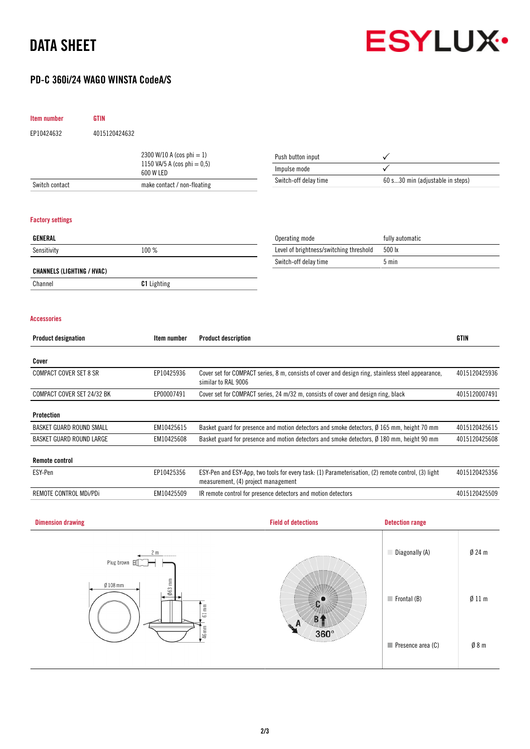# DATA SHEET



## PD-C 360i/24 WAGO WINSTA CodeA/S

| <b>Item number</b>                               | <b>GTIN</b>                              |                    |                                     |                                                                                                      |                        |               |  |
|--------------------------------------------------|------------------------------------------|--------------------|-------------------------------------|------------------------------------------------------------------------------------------------------|------------------------|---------------|--|
| EP10424632                                       | 4015120424632                            |                    |                                     |                                                                                                      |                        |               |  |
| 2300 W/10 A (cos phi = 1)                        |                                          |                    | Push button input                   |                                                                                                      |                        |               |  |
|                                                  | 1150 VA/5 A (cos phi = $0,5$ )           |                    |                                     | Impulse mode                                                                                         |                        |               |  |
| Switch contact                                   | 600 W LED<br>make contact / non-floating |                    |                                     | Switch-off delay time<br>60 s30 min (adjustable in steps)                                            |                        |               |  |
|                                                  |                                          |                    |                                     |                                                                                                      |                        |               |  |
| <b>Factory settings</b>                          |                                          |                    |                                     |                                                                                                      |                        |               |  |
| <b>GENERAL</b>                                   |                                          |                    |                                     | Operating mode                                                                                       | fully automatic        |               |  |
| Sensitivity                                      |                                          | 100 %              |                                     | Level of brightness/switching threshold                                                              | 500 lx                 |               |  |
|                                                  |                                          |                    |                                     | Switch-off delay time                                                                                | $5 \text{ min}$        |               |  |
| <b>CHANNELS (LIGHTING / HVAC)</b>                |                                          |                    |                                     |                                                                                                      |                        |               |  |
| Channel                                          |                                          | <b>C1</b> Lighting |                                     |                                                                                                      |                        |               |  |
| <b>Accessories</b><br><b>Product designation</b> |                                          | Item number        | <b>Product description</b>          |                                                                                                      |                        | GTIN          |  |
|                                                  |                                          |                    |                                     |                                                                                                      |                        |               |  |
| Cover                                            |                                          |                    |                                     |                                                                                                      |                        |               |  |
| <b>COMPACT COVER SET 8 SR</b>                    |                                          | EP10425936         | similar to RAL 9006                 | Cover set for COMPACT series, 8 m, consists of cover and design ring, stainless steel appearance,    |                        | 4015120425936 |  |
| COMPACT COVER SET 24/32 BK                       |                                          | EP00007491         |                                     | Cover set for COMPACT series, 24 m/32 m, consists of cover and design ring, black                    |                        | 4015120007491 |  |
| Protection                                       |                                          |                    |                                     |                                                                                                      |                        |               |  |
| <b>BASKET GUARD ROUND SMALL</b>                  |                                          | EM10425615         |                                     | Basket guard for presence and motion detectors and smoke detectors, $\emptyset$ 165 mm, height 70 mm |                        | 4015120425615 |  |
| <b>BASKET GUARD ROUND LARGE</b>                  |                                          | EM10425608         |                                     | Basket guard for presence and motion detectors and smoke detectors, Ø 180 mm, height 90 mm           |                        | 4015120425608 |  |
| <b>Remote control</b>                            |                                          |                    |                                     |                                                                                                      |                        |               |  |
| ESY-Pen                                          |                                          | EP10425356         | measurement, (4) project management | ESY-Pen and ESY-App, two tools for every task: (1) Parameterisation, (2) remote control, (3) light   |                        | 4015120425356 |  |
| REMOTE CONTROL MDi/PDi                           |                                          | EM10425509         |                                     | IR remote control for presence detectors and motion detectors                                        |                        | 4015120425509 |  |
| <b>Dimension drawing</b>                         |                                          |                    |                                     | <b>Field of detections</b>                                                                           | <b>Detection range</b> |               |  |